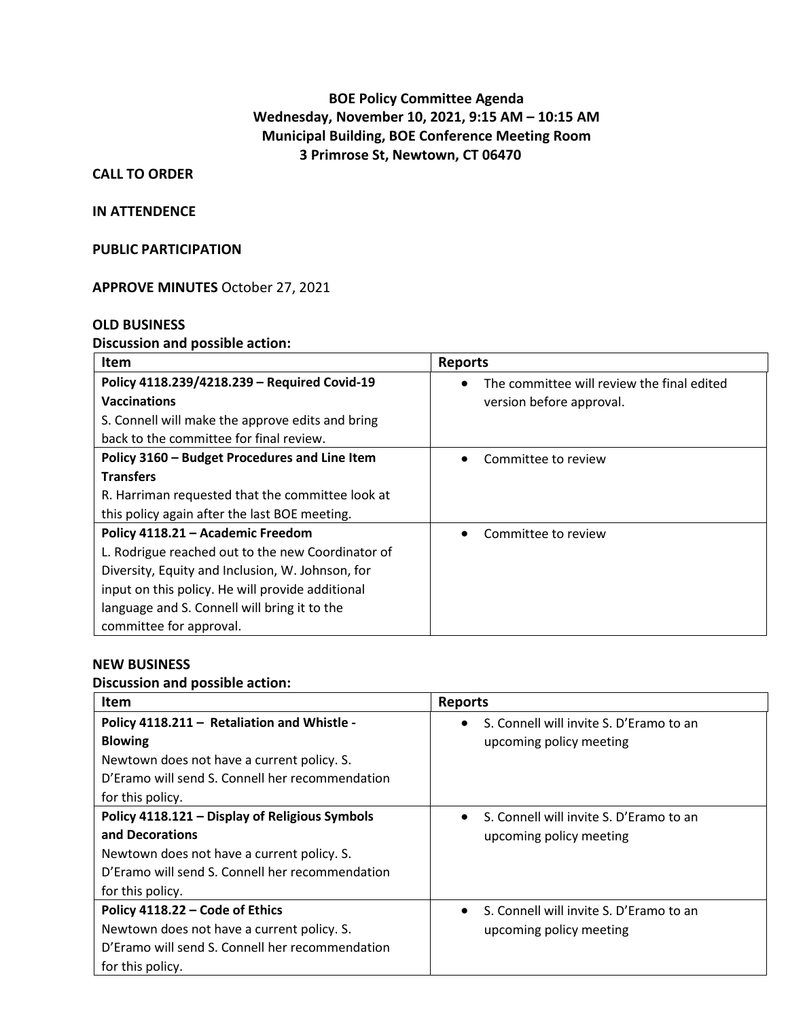# **BOE Policy Committee Agenda Wednesday, November 10, 2021, 9:15 AM – 10:15 AM Municipal Building, BOE Conference Meeting Room 3 Primrose St, Newtown, CT 06470**

## **CALL TO ORDER**

### **IN ATTENDENCE**

## **PUBLIC PARTICIPATION**

**APPROVE MINUTES** October 27, 2021

#### **OLD BUSINESS**

## **Discussion and possible action:**

| <b>Item</b>                                       | <b>Reports</b>                             |
|---------------------------------------------------|--------------------------------------------|
| Policy 4118.239/4218.239 - Required Covid-19      | The committee will review the final edited |
| <b>Vaccinations</b>                               | version before approval.                   |
| S. Connell will make the approve edits and bring  |                                            |
| back to the committee for final review.           |                                            |
| Policy 3160 - Budget Procedures and Line Item     | Committee to review                        |
| <b>Transfers</b>                                  |                                            |
| R. Harriman requested that the committee look at  |                                            |
| this policy again after the last BOE meeting.     |                                            |
| Policy 4118.21 - Academic Freedom                 | Committee to review                        |
| L. Rodrigue reached out to the new Coordinator of |                                            |
| Diversity, Equity and Inclusion, W. Johnson, for  |                                            |
| input on this policy. He will provide additional  |                                            |
| language and S. Connell will bring it to the      |                                            |
| committee for approval.                           |                                            |

#### **NEW BUSINESS**

### **Discussion and possible action:**

| Item                                            | <b>Reports</b>                                       |
|-------------------------------------------------|------------------------------------------------------|
| Policy 4118.211 - Retaliation and Whistle -     | S. Connell will invite S. D'Eramo to an              |
| <b>Blowing</b>                                  | upcoming policy meeting                              |
| Newtown does not have a current policy. S.      |                                                      |
| D'Eramo will send S. Connell her recommendation |                                                      |
| for this policy.                                |                                                      |
| Policy 4118.121 - Display of Religious Symbols  | S. Connell will invite S. D'Eramo to an              |
| and Decorations                                 | upcoming policy meeting                              |
| Newtown does not have a current policy. S.      |                                                      |
| D'Eramo will send S. Connell her recommendation |                                                      |
| for this policy.                                |                                                      |
| Policy 4118.22 - Code of Ethics                 | S. Connell will invite S. D'Eramo to an<br>$\bullet$ |
| Newtown does not have a current policy. S.      | upcoming policy meeting                              |
| D'Eramo will send S. Connell her recommendation |                                                      |
| for this policy.                                |                                                      |